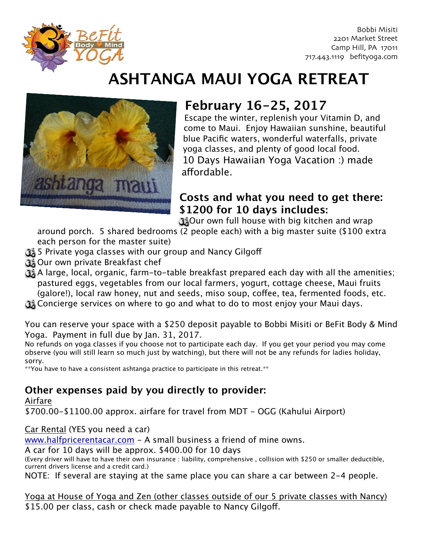

Bobbi Misiti 2201 Market Street Camp Hill, PA 17011 717.443.1119 befityoga.com

# **ASHTANGA MAUI YOGA RETREAT**



# **February 16-25, 2017**

Escape the winter, replenish your Vitamin D, and come to Maui. Enjoy Hawaiian sunshine, beautiful blue Pacific waters, wonderful waterfalls, private yoga classes, and plenty of good local food. 10 Days Hawaiian Yoga Vacation :) made affordable.

#### **Costs and what you need to get there: \$1200 for 10 days includes:**

Our own full house with big kitchen and wrap

around porch. 5 shared bedrooms (2 people each) with a big master suite (\$100 extra each person for the master suite)

- 5 Private yoga classes with our group and Nancy Gilgoff
- Our own private Breakfast chef
- A large, local, organic, farm-to-table breakfast prepared each day with all the amenities; pastured eggs, vegetables from our local farmers, yogurt, cottage cheese, Maui fruits (galore!), local raw honey, nut and seeds, miso soup, cofee, tea, fermented foods, etc.
- Concierge services on where to go and what to do to most enjoy your Maui days.

You can reserve your space with a \$250 deposit payable to Bobbi Misiti or BeFit Body & Mind Yoga. Payment in full due by Jan. 31, 2017.

No refunds on yoga classes if you choose not to participate each day. If you get your period you may come observe (you will still learn so much just by watching), but there will not be any refunds for ladies holiday, sorry.

\*\*You have to have a consistent ashtanga practice to participate in this retreat.\*\*

### **Other expenses paid by you directly to provider:**

Airfare

\$700.00-\$1100.00 approx. airfare for travel from MDT - OGG (Kahului Airport)

Car Rental (YES you need a car)

[www.halfpricerentacar.com](http://www.halfpricerentacar.com) - A small business a friend of mine owns.

A car for 10 days will be approx. \$400.00 for 10 days

(Every driver will have to have their own insurance : liability, comprehensive , collision with \$250 or smaller deductible, current drivers license and a credit card.)

NOTE: If several are staying at the same place you can share a car between 2-4 people.

Yoga at House of Yoga and Zen (other classes outside of our 5 private classes with Nancy) \$15.00 per class, cash or check made payable to Nancy Gilgoff.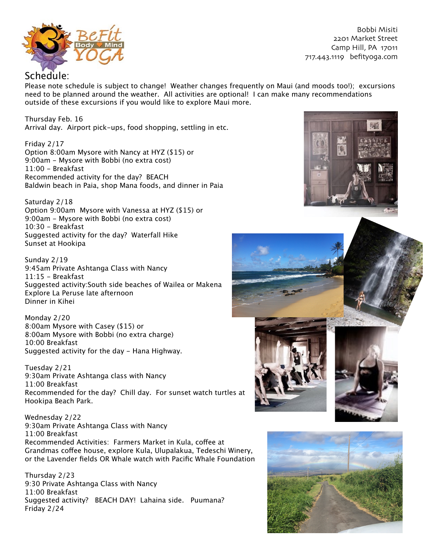

Bobbi Misiti 2201 Market Street Camp Hill, PA 17011 717.443.1119 befityoga.com

Please note schedule is subject to change! Weather changes frequently on Maui (and moods too!); excursions need to be planned around the weather. All activities are optional! I can make many recommendations outside of these excursions if you would like to explore Maui more.

Thursday Feb. 16 Arrival day. Airport pick-ups, food shopping, settling in etc.

Friday 2/17 Option 8:00am Mysore with Nancy at HYZ (\$15) or 9:00am - Mysore with Bobbi (no extra cost) 11:00 - Breakfast Recommended activity for the day? BEACH Baldwin beach in Paia, shop Mana foods, and dinner in Paia

Saturday 2/18 Option 9:00am Mysore with Vanessa at HYZ (\$15) or 9:00am - Mysore with Bobbi (no extra cost) 10:30 - Breakfast Suggested activity for the day? Waterfall Hike Sunset at Hookipa

Sunday 2/19 9:45am Private Ashtanga Class with Nancy 11:15 - Breakfast Suggested activity:South side beaches of Wailea or Makena Explore La Peruse late afternoon Dinner in Kihei

Monday 2/20 8:00am Mysore with Casey (\$15) or 8:00am Mysore with Bobbi (no extra charge) 10:00 Breakfast Suggested activity for the day - Hana Highway.

Tuesday 2/21 9:30am Private Ashtanga class with Nancy 11:00 Breakfast Recommended for the day? Chill day. For sunset watch turtles at Hookipa Beach Park.

Wednesday 2/22 9:30am Private Ashtanga Class with Nancy 11:00 Breakfast Recommended Activities: Farmers Market in Kula, cofee at Grandmas cofee house, explore Kula, Ulupalakua, Tedeschi Winery, or the Lavender fields OR Whale watch with Pacific Whale Foundation

Thursday 2/23 9:30 Private Ashtanga Class with Nancy 11:00 Breakfast Suggested activity? BEACH DAY! Lahaina side. Puumana? Friday 2/24